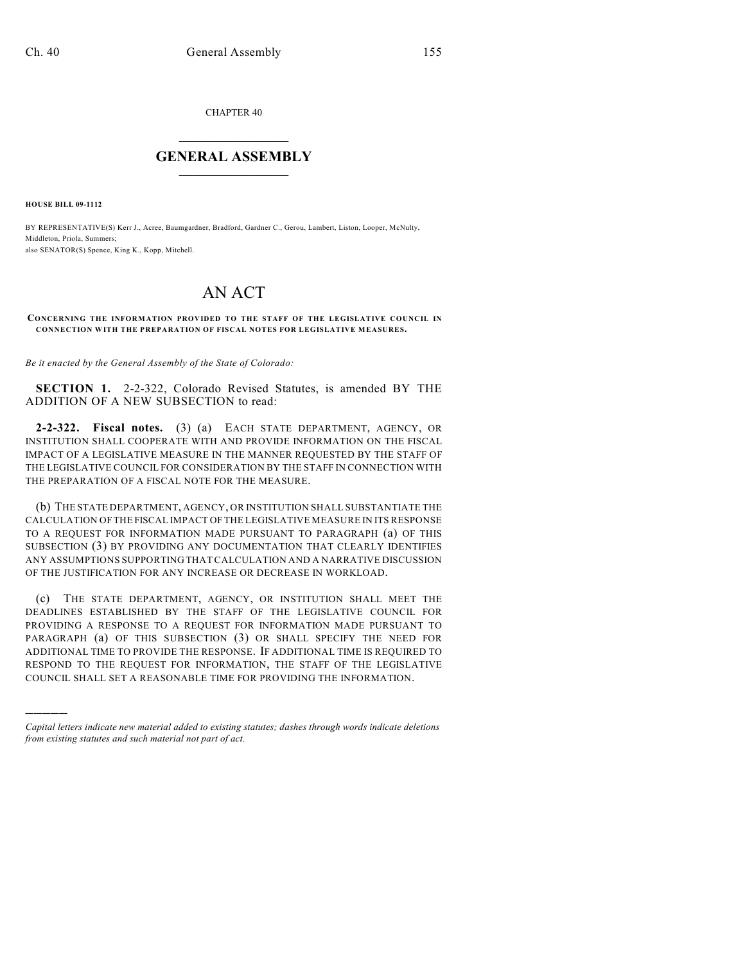CHAPTER 40

## $\overline{\phantom{a}}$  . The set of the set of the set of the set of the set of the set of the set of the set of the set of the set of the set of the set of the set of the set of the set of the set of the set of the set of the set o **GENERAL ASSEMBLY**  $\frac{1}{\sqrt{2}}$

**HOUSE BILL 09-1112**

)))))

BY REPRESENTATIVE(S) Kerr J., Acree, Baumgardner, Bradford, Gardner C., Gerou, Lambert, Liston, Looper, McNulty, Middleton, Priola, Summers; also SENATOR(S) Spence, King K., Kopp, Mitchell.

## AN ACT

## **CONCERNING THE INFORMATION PROVIDED TO THE STAFF OF THE LEGISLATIVE COUNCIL IN CONNECTION WITH THE PREPARATION OF FISCAL NOTES FOR LEGISLATIVE MEASURES.**

*Be it enacted by the General Assembly of the State of Colorado:*

**SECTION 1.** 2-2-322, Colorado Revised Statutes, is amended BY THE ADDITION OF A NEW SUBSECTION to read:

**2-2-322. Fiscal notes.** (3) (a) EACH STATE DEPARTMENT, AGENCY, OR INSTITUTION SHALL COOPERATE WITH AND PROVIDE INFORMATION ON THE FISCAL IMPACT OF A LEGISLATIVE MEASURE IN THE MANNER REQUESTED BY THE STAFF OF THE LEGISLATIVE COUNCIL FOR CONSIDERATION BY THE STAFF IN CONNECTION WITH THE PREPARATION OF A FISCAL NOTE FOR THE MEASURE.

(b) THE STATE DEPARTMENT, AGENCY, OR INSTITUTION SHALL SUBSTANTIATE THE CALCULATION OF THE FISCAL IMPACT OF THE LEGISLATIVE MEASURE IN ITS RESPONSE TO A REQUEST FOR INFORMATION MADE PURSUANT TO PARAGRAPH (a) OF THIS SUBSECTION (3) BY PROVIDING ANY DOCUMENTATION THAT CLEARLY IDENTIFIES ANY ASSUMPTIONS SUPPORTING THATCALCULATION AND A NARRATIVE DISCUSSION OF THE JUSTIFICATION FOR ANY INCREASE OR DECREASE IN WORKLOAD.

(c) THE STATE DEPARTMENT, AGENCY, OR INSTITUTION SHALL MEET THE DEADLINES ESTABLISHED BY THE STAFF OF THE LEGISLATIVE COUNCIL FOR PROVIDING A RESPONSE TO A REQUEST FOR INFORMATION MADE PURSUANT TO PARAGRAPH (a) OF THIS SUBSECTION (3) OR SHALL SPECIFY THE NEED FOR ADDITIONAL TIME TO PROVIDE THE RESPONSE. IF ADDITIONAL TIME IS REQUIRED TO RESPOND TO THE REQUEST FOR INFORMATION, THE STAFF OF THE LEGISLATIVE COUNCIL SHALL SET A REASONABLE TIME FOR PROVIDING THE INFORMATION.

*Capital letters indicate new material added to existing statutes; dashes through words indicate deletions from existing statutes and such material not part of act.*